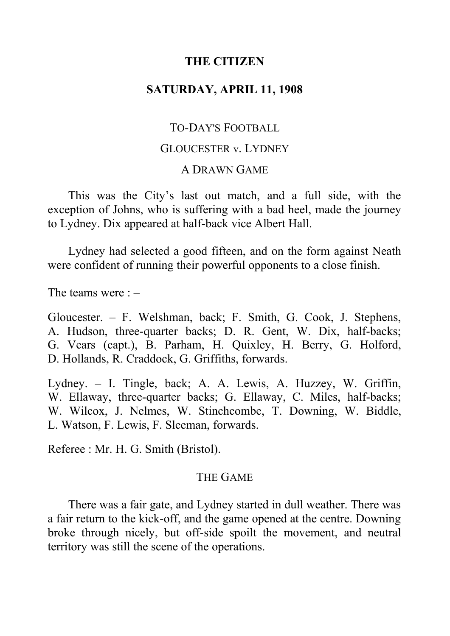### **THE CITIZEN**

# **SATURDAY, APRIL 11, 1908**

#### TO-DAY'S FOOTBALL

### GLOUCESTER v. LYDNEY

#### A DRAWN GAME

This was the City's last out match, and a full side, with the exception of Johns, who is suffering with a bad heel, made the journey to Lydney. Dix appeared at half-back vice Albert Hall.

Lydney had selected a good fifteen, and on the form against Neath were confident of running their powerful opponents to a close finish.

The teams were : –

Gloucester. ‒ F. Welshman, back; F. Smith, G. Cook, J. Stephens, A. Hudson, three-quarter backs; D. R. Gent, W. Dix, half-backs; G. Vears (capt.), B. Parham, H. Quixley, H. Berry, G. Holford, D. Hollands, R. Craddock, G. Griffiths, forwards.

Lydney. ‒ I. Tingle, back; A. A. Lewis, A. Huzzey, W. Griffin, W. Ellaway, three-quarter backs; G. Ellaway, C. Miles, half-backs; W. Wilcox, J. Nelmes, W. Stinchcombe, T. Downing, W. Biddle, L. Watson, F. Lewis, F. Sleeman, forwards.

Referee : Mr. H. G. Smith (Bristol).

#### THE GAME

There was a fair gate, and Lydney started in dull weather. There was a fair return to the kick-off, and the game opened at the centre. Downing broke through nicely, but off-side spoilt the movement, and neutral territory was still the scene of the operations.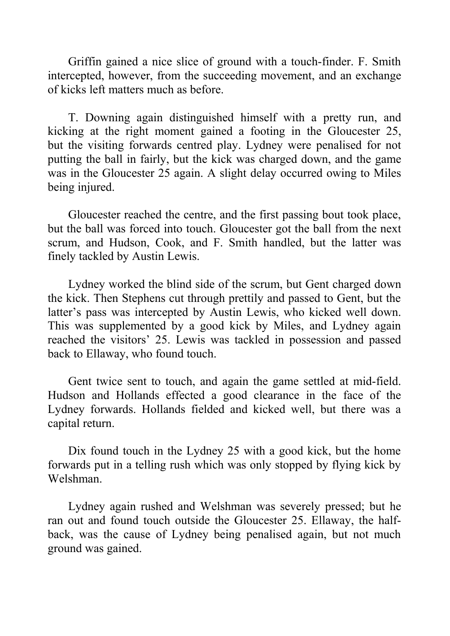Griffin gained a nice slice of ground with a touch-finder. F. Smith intercepted, however, from the succeeding movement, and an exchange of kicks left matters much as before.

T. Downing again distinguished himself with a pretty run, and kicking at the right moment gained a footing in the Gloucester 25, but the visiting forwards centred play. Lydney were penalised for not putting the ball in fairly, but the kick was charged down, and the game was in the Gloucester 25 again. A slight delay occurred owing to Miles being injured.

Gloucester reached the centre, and the first passing bout took place, but the ball was forced into touch. Gloucester got the ball from the next scrum, and Hudson, Cook, and F. Smith handled, but the latter was finely tackled by Austin Lewis.

Lydney worked the blind side of the scrum, but Gent charged down the kick. Then Stephens cut through prettily and passed to Gent, but the latter's pass was intercepted by Austin Lewis, who kicked well down. This was supplemented by a good kick by Miles, and Lydney again reached the visitors' 25. Lewis was tackled in possession and passed back to Ellaway, who found touch.

Gent twice sent to touch, and again the game settled at mid-field. Hudson and Hollands effected a good clearance in the face of the Lydney forwards. Hollands fielded and kicked well, but there was a capital return.

Dix found touch in the Lydney 25 with a good kick, but the home forwards put in a telling rush which was only stopped by flying kick by Welshman.

Lydney again rushed and Welshman was severely pressed; but he ran out and found touch outside the Gloucester 25. Ellaway, the halfback, was the cause of Lydney being penalised again, but not much ground was gained.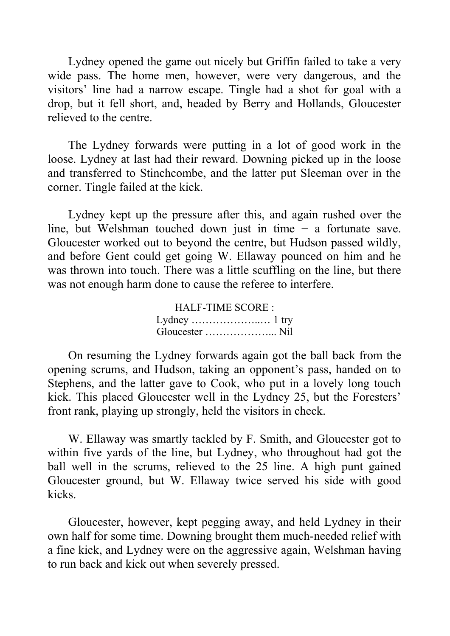Lydney opened the game out nicely but Griffin failed to take a very wide pass. The home men, however, were very dangerous, and the visitors' line had a narrow escape. Tingle had a shot for goal with a drop, but it fell short, and, headed by Berry and Hollands, Gloucester relieved to the centre.

The Lydney forwards were putting in a lot of good work in the loose. Lydney at last had their reward. Downing picked up in the loose and transferred to Stinchcombe, and the latter put Sleeman over in the corner. Tingle failed at the kick.

Lydney kept up the pressure after this, and again rushed over the line, but Welshman touched down just in time − a fortunate save. Gloucester worked out to beyond the centre, but Hudson passed wildly, and before Gent could get going W. Ellaway pounced on him and he was thrown into touch. There was a little scuffling on the line, but there was not enough harm done to cause the referee to interfere.

> HALF-TIME SCORE : Lydney ………………..… 1 try Gloucester ………………... Nil

On resuming the Lydney forwards again got the ball back from the opening scrums, and Hudson, taking an opponent's pass, handed on to Stephens, and the latter gave to Cook, who put in a lovely long touch kick. This placed Gloucester well in the Lydney 25, but the Foresters' front rank, playing up strongly, held the visitors in check.

W. Ellaway was smartly tackled by F. Smith, and Gloucester got to within five yards of the line, but Lydney, who throughout had got the ball well in the scrums, relieved to the 25 line. A high punt gained Gloucester ground, but W. Ellaway twice served his side with good kicks.

Gloucester, however, kept pegging away, and held Lydney in their own half for some time. Downing brought them much-needed relief with a fine kick, and Lydney were on the aggressive again, Welshman having to run back and kick out when severely pressed.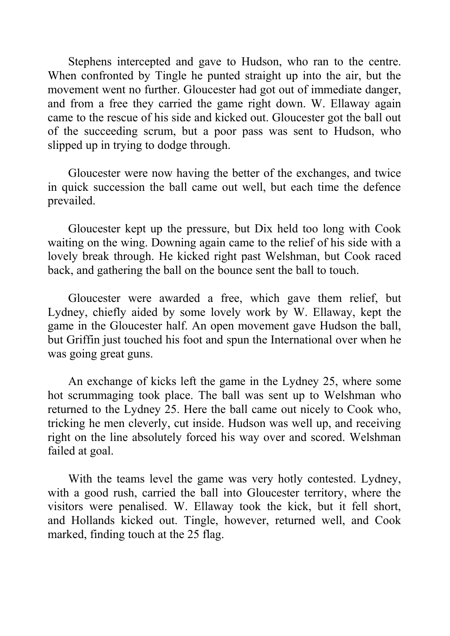Stephens intercepted and gave to Hudson, who ran to the centre. When confronted by Tingle he punted straight up into the air, but the movement went no further. Gloucester had got out of immediate danger, and from a free they carried the game right down. W. Ellaway again came to the rescue of his side and kicked out. Gloucester got the ball out of the succeeding scrum, but a poor pass was sent to Hudson, who slipped up in trying to dodge through.

Gloucester were now having the better of the exchanges, and twice in quick succession the ball came out well, but each time the defence prevailed.

Gloucester kept up the pressure, but Dix held too long with Cook waiting on the wing. Downing again came to the relief of his side with a lovely break through. He kicked right past Welshman, but Cook raced back, and gathering the ball on the bounce sent the ball to touch.

Gloucester were awarded a free, which gave them relief, but Lydney, chiefly aided by some lovely work by W. Ellaway, kept the game in the Gloucester half. An open movement gave Hudson the ball, but Griffin just touched his foot and spun the International over when he was going great guns.

An exchange of kicks left the game in the Lydney 25, where some hot scrummaging took place. The ball was sent up to Welshman who returned to the Lydney 25. Here the ball came out nicely to Cook who, tricking he men cleverly, cut inside. Hudson was well up, and receiving right on the line absolutely forced his way over and scored. Welshman failed at goal.

With the teams level the game was very hotly contested. Lydney, with a good rush, carried the ball into Gloucester territory, where the visitors were penalised. W. Ellaway took the kick, but it fell short, and Hollands kicked out. Tingle, however, returned well, and Cook marked, finding touch at the 25 flag.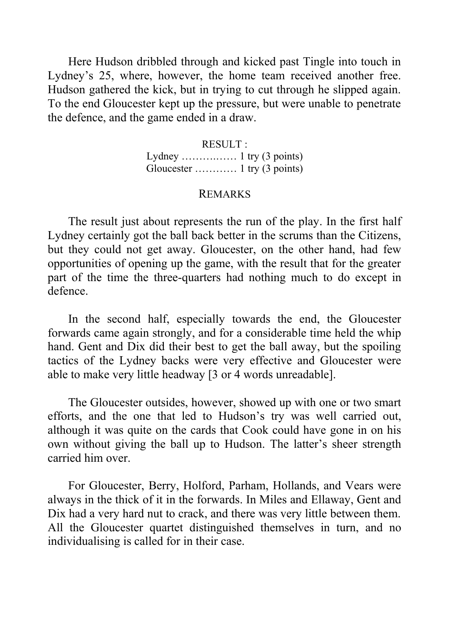Here Hudson dribbled through and kicked past Tingle into touch in Lydney's 25, where, however, the home team received another free. Hudson gathered the kick, but in trying to cut through he slipped again. To the end Gloucester kept up the pressure, but were unable to penetrate the defence, and the game ended in a draw.

> RESULT : Lydney ……….…… 1 try (3 points) Gloucester ………… 1 try (3 points)

#### REMARKS

The result just about represents the run of the play. In the first half Lydney certainly got the ball back better in the scrums than the Citizens, but they could not get away. Gloucester, on the other hand, had few opportunities of opening up the game, with the result that for the greater part of the time the three-quarters had nothing much to do except in defence.

In the second half, especially towards the end, the Gloucester forwards came again strongly, and for a considerable time held the whip hand. Gent and Dix did their best to get the ball away, but the spoiling tactics of the Lydney backs were very effective and Gloucester were able to make very little headway [3 or 4 words unreadable].

The Gloucester outsides, however, showed up with one or two smart efforts, and the one that led to Hudson's try was well carried out, although it was quite on the cards that Cook could have gone in on his own without giving the ball up to Hudson. The latter's sheer strength carried him over.

For Gloucester, Berry, Holford, Parham, Hollands, and Vears were always in the thick of it in the forwards. In Miles and Ellaway, Gent and Dix had a very hard nut to crack, and there was very little between them. All the Gloucester quartet distinguished themselves in turn, and no individualising is called for in their case.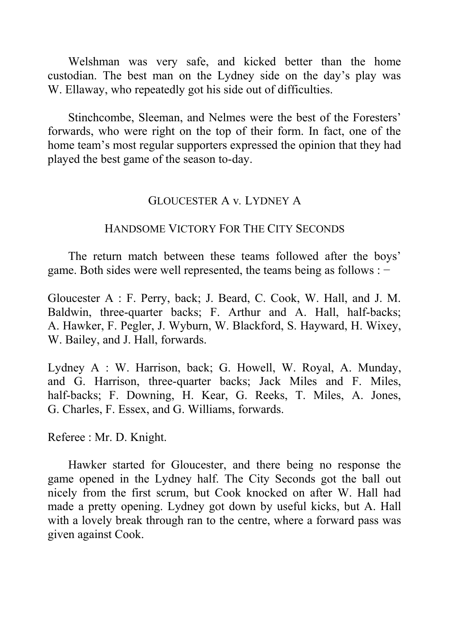Welshman was very safe, and kicked better than the home custodian. The best man on the Lydney side on the day's play was W. Ellaway, who repeatedly got his side out of difficulties.

Stinchcombe, Sleeman, and Nelmes were the best of the Foresters' forwards, who were right on the top of their form. In fact, one of the home team's most regular supporters expressed the opinion that they had played the best game of the season to-day.

## GLOUCESTER A v*.* LYDNEY A

# HANDSOME VICTORY FOR THE CITY SECONDS

The return match between these teams followed after the boys' game. Both sides were well represented, the teams being as follows : −

Gloucester A : F. Perry, back; J. Beard, C. Cook, W. Hall, and J. M. Baldwin, three-quarter backs; F. Arthur and A. Hall, half-backs; A. Hawker, F. Pegler, J. Wyburn, W. Blackford, S. Hayward, H. Wixey, W. Bailey, and J. Hall, forwards.

Lydney A : W. Harrison, back; G. Howell, W. Royal, A. Munday, and G. Harrison, three-quarter backs; Jack Miles and F. Miles, half-backs; F. Downing, H. Kear, G. Reeks, T. Miles, A. Jones, G. Charles, F. Essex, and G. Williams, forwards.

Referee : Mr. D. Knight.

Hawker started for Gloucester, and there being no response the game opened in the Lydney half. The City Seconds got the ball out nicely from the first scrum, but Cook knocked on after W. Hall had made a pretty opening. Lydney got down by useful kicks, but A. Hall with a lovely break through ran to the centre, where a forward pass was given against Cook.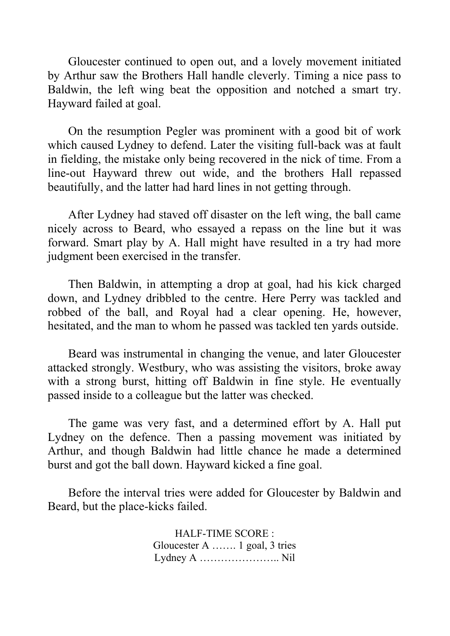Gloucester continued to open out, and a lovely movement initiated by Arthur saw the Brothers Hall handle cleverly. Timing a nice pass to Baldwin, the left wing beat the opposition and notched a smart try. Hayward failed at goal.

On the resumption Pegler was prominent with a good bit of work which caused Lydney to defend. Later the visiting full-back was at fault in fielding, the mistake only being recovered in the nick of time. From a line-out Hayward threw out wide, and the brothers Hall repassed beautifully, and the latter had hard lines in not getting through.

After Lydney had staved off disaster on the left wing, the ball came nicely across to Beard, who essayed a repass on the line but it was forward. Smart play by A. Hall might have resulted in a try had more judgment been exercised in the transfer.

Then Baldwin, in attempting a drop at goal, had his kick charged down, and Lydney dribbled to the centre. Here Perry was tackled and robbed of the ball, and Royal had a clear opening. He, however, hesitated, and the man to whom he passed was tackled ten yards outside.

Beard was instrumental in changing the venue, and later Gloucester attacked strongly. Westbury, who was assisting the visitors, broke away with a strong burst, hitting off Baldwin in fine style. He eventually passed inside to a colleague but the latter was checked.

The game was very fast, and a determined effort by A. Hall put Lydney on the defence. Then a passing movement was initiated by Arthur, and though Baldwin had little chance he made a determined burst and got the ball down. Hayward kicked a fine goal.

Before the interval tries were added for Gloucester by Baldwin and Beard, but the place-kicks failed.

> HALF-TIME SCORE : Gloucester A ……. 1 goal, 3 tries Lydney A ………………….. Nil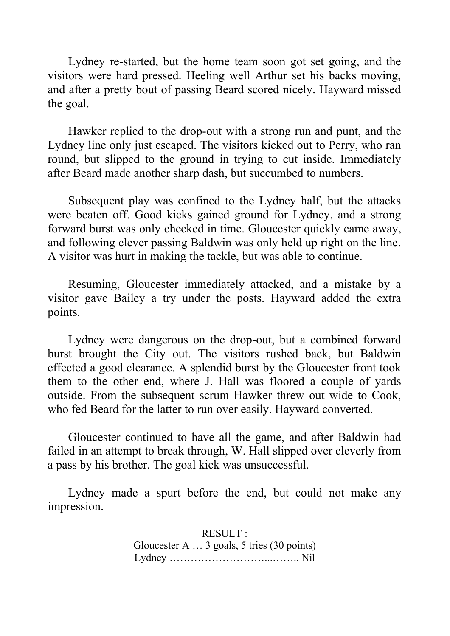Lydney re-started, but the home team soon got set going, and the visitors were hard pressed. Heeling well Arthur set his backs moving, and after a pretty bout of passing Beard scored nicely. Hayward missed the goal.

Hawker replied to the drop-out with a strong run and punt, and the Lydney line only just escaped. The visitors kicked out to Perry, who ran round, but slipped to the ground in trying to cut inside. Immediately after Beard made another sharp dash, but succumbed to numbers.

Subsequent play was confined to the Lydney half, but the attacks were beaten off. Good kicks gained ground for Lydney, and a strong forward burst was only checked in time. Gloucester quickly came away, and following clever passing Baldwin was only held up right on the line. A visitor was hurt in making the tackle, but was able to continue.

Resuming, Gloucester immediately attacked, and a mistake by a visitor gave Bailey a try under the posts. Hayward added the extra points.

Lydney were dangerous on the drop-out, but a combined forward burst brought the City out. The visitors rushed back, but Baldwin effected a good clearance. A splendid burst by the Gloucester front took them to the other end, where J. Hall was floored a couple of yards outside. From the subsequent scrum Hawker threw out wide to Cook, who fed Beard for the latter to run over easily. Hayward converted.

Gloucester continued to have all the game, and after Baldwin had failed in an attempt to break through, W. Hall slipped over cleverly from a pass by his brother. The goal kick was unsuccessful.

Lydney made a spurt before the end, but could not make any impression.

> RESULT : Gloucester A … 3 goals, 5 tries (30 points) Lydney ………………………...…….. Nil